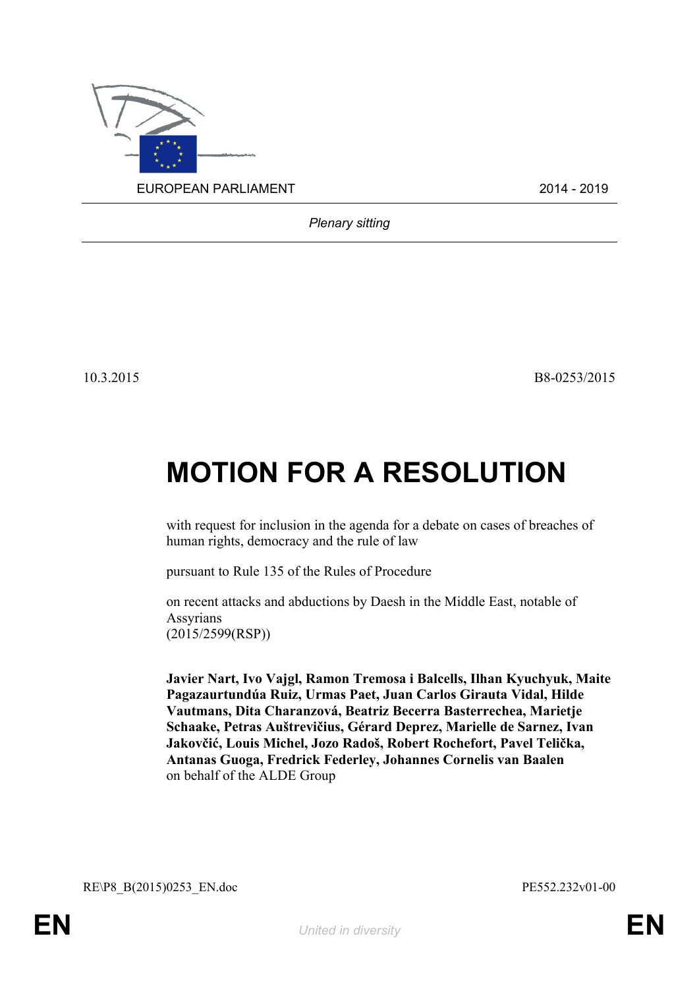

*Plenary sitting*

10.3.2015 B8-0253/2015

## **MOTION FOR A RESOLUTION**

with request for inclusion in the agenda for a debate on cases of breaches of human rights, democracy and the rule of law

pursuant to Rule 135 of the Rules of Procedure

on recent attacks and abductions by Daesh in the Middle East, notable of Assyrians (2015/2599(RSP))

**Javier Nart, Ivo Vajgl, Ramon Tremosa i Balcells, Ilhan Kyuchyuk, Maite Pagazaurtundúa Ruiz, Urmas Paet, Juan Carlos Girauta Vidal, Hilde Vautmans, Dita Charanzová, Beatriz Becerra Basterrechea, Marietje Schaake, Petras Auštrevičius, Gérard Deprez, Marielle de Sarnez, Ivan Jakovčić, Louis Michel, Jozo Radoš, Robert Rochefort, Pavel Telička, Antanas Guoga, Fredrick Federley, Johannes Cornelis van Baalen** on behalf of the ALDE Group

<span id="page-0-1"></span>RE\P8\_B(2015)0253\_EN.doc PE552.232v01-00

<span id="page-0-0"></span>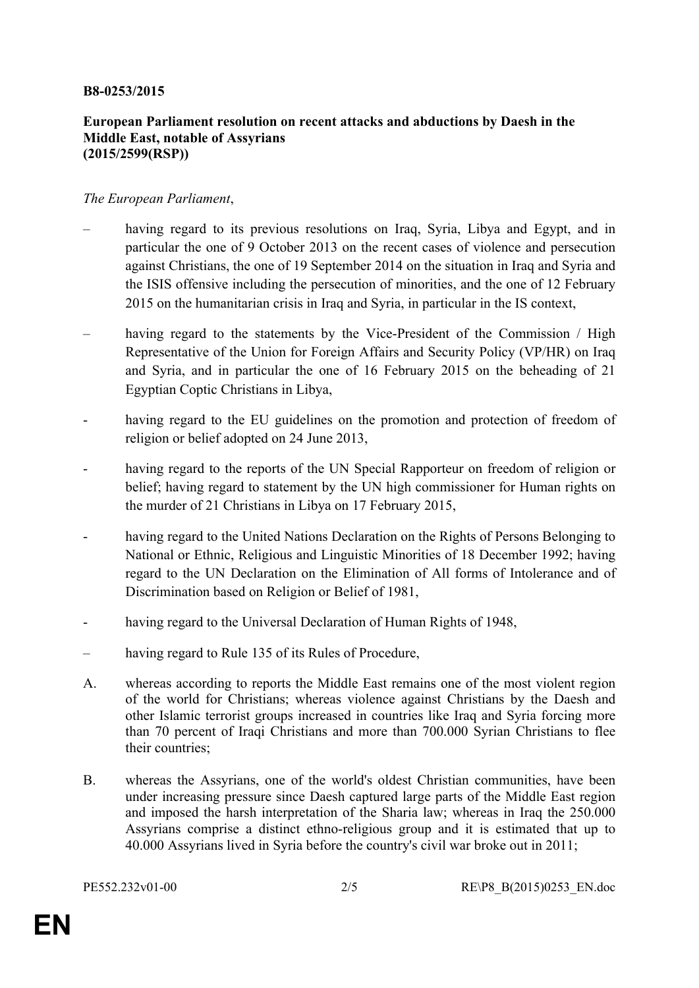## **B8-0253/2015**

## **European Parliament resolution on recent attacks and abductions by Daesh in the Middle East, notable of Assyrians (2015/2599(RSP))**

## *The European Parliament*,

- having regard to its previous resolutions on Iraq, Syria, Libya and Egypt, and in particular the one of 9 October 2013 on the recent cases of violence and persecution against Christians, the one of 19 September 2014 on the situation in Iraq and Syria and the ISIS offensive including the persecution of minorities, and the one of 12 February 2015 on the humanitarian crisis in Iraq and Syria, in particular in the IS context,
- having regard to the statements by the Vice-President of the Commission / High Representative of the Union for Foreign Affairs and Security Policy (VP/HR) on Iraq and Syria, and in particular the one of 16 February 2015 on the beheading of 21 Egyptian Coptic Christians in Libya,
- having regard to the EU guidelines on the promotion and protection of freedom of religion or belief adopted on 24 June 2013,
- having regard to the reports of the UN Special Rapporteur on freedom of religion or belief; having regard to statement by the UN high commissioner for Human rights on the murder of 21 Christians in Libya on 17 February 2015,
- having regard to the United Nations Declaration on the Rights of Persons Belonging to National or Ethnic, Religious and Linguistic Minorities of 18 December 1992; having regard to the UN Declaration on the Elimination of All forms of Intolerance and of Discrimination based on Religion or Belief of 1981,
- having regard to the Universal Declaration of Human Rights of 1948,
- having regard to Rule 135 of its Rules of Procedure,
- A. whereas according to reports the Middle East remains one of the most violent region of the world for Christians; whereas violence against Christians by the Daesh and other Islamic terrorist groups increased in countries like Iraq and Syria forcing more than 70 percent of Iraqi Christians and more than 700.000 Syrian Christians to flee their countries;
- B. whereas the Assyrians, one of the world's oldest Christian communities, have been under increasing pressure since Daesh captured large parts of the Middle East region and imposed the harsh interpretation of the Sharia law; whereas in Iraq the 250.000 Assyrians comprise a distinct ethno-religious group and it is estimated that up to 40.000 Assyrians lived in Syria before the country's civil war broke out in 2011;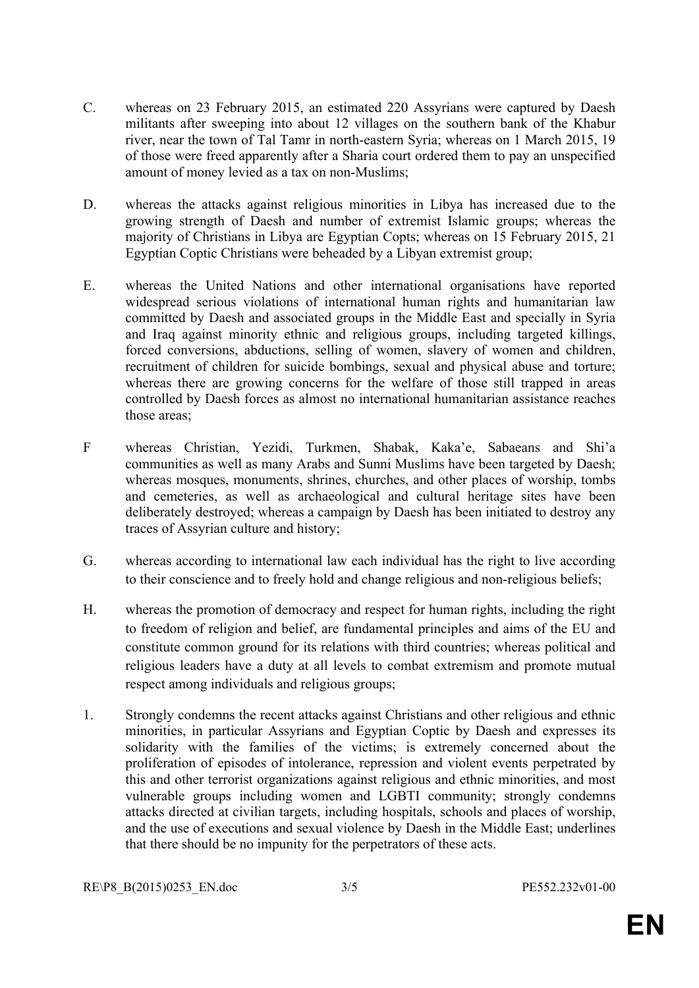- C. whereas on 23 February 2015, an estimated 220 Assyrians were captured by Daesh militants after sweeping into about 12 villages on the southern bank of the Khabur river, near the town of Tal Tamr in north-eastern Syria; whereas on 1 March 2015, 19 of those were freed apparently after a Sharia court ordered them to pay an unspecified amount of money levied as a tax on non-Muslims;
- D. whereas the attacks against religious minorities in Libya has increased due to the growing strength of Daesh and number of extremist Islamic groups; whereas the majority of Christians in Libya are Egyptian Copts; whereas on 15 February 2015, 21 Egyptian Coptic Christians were beheaded by a Libyan extremist group;
- E. whereas the United Nations and other international organisations have reported widespread serious violations of international human rights and humanitarian law committed by Daesh and associated groups in the Middle East and specially in Syria and Iraq against minority ethnic and religious groups, including targeted killings, forced conversions, abductions, selling of women, slavery of women and children, recruitment of children for suicide bombings, sexual and physical abuse and torture; whereas there are growing concerns for the welfare of those still trapped in areas controlled by Daesh forces as almost no international humanitarian assistance reaches those areas;
- F whereas Christian, Yezidi, Turkmen, Shabak, Kaka'e, Sabaeans and Shi'a communities as well as many Arabs and Sunni Muslims have been targeted by Daesh; whereas mosques, monuments, shrines, churches, and other places of worship, tombs and cemeteries, as well as archaeological and cultural heritage sites have been deliberately destroyed; whereas a campaign by Daesh has been initiated to destroy any traces of Assyrian culture and history;
- G. whereas according to international law each individual has the right to live according to their conscience and to freely hold and change religious and non-religious beliefs;
- H. whereas the promotion of democracy and respect for human rights, including the right to freedom of religion and belief, are fundamental principles and aims of the EU and constitute common ground for its relations with third countries; whereas political and religious leaders have a duty at all levels to combat extremism and promote mutual respect among individuals and religious groups;
- 1. Strongly condemns the recent attacks against Christians and other religious and ethnic minorities, in particular Assyrians and Egyptian Coptic by Daesh and expresses its solidarity with the families of the victims; is extremely concerned about the proliferation of episodes of intolerance, repression and violent events perpetrated by this and other terrorist organizations against religious and ethnic minorities, and most vulnerable groups including women and LGBTI community; strongly condemns attacks directed at civilian targets, including hospitals, schools and places of worship, and the use of executions and sexual violence by Daesh in the Middle East; underlines that there should be no impunity for the perpetrators of these acts.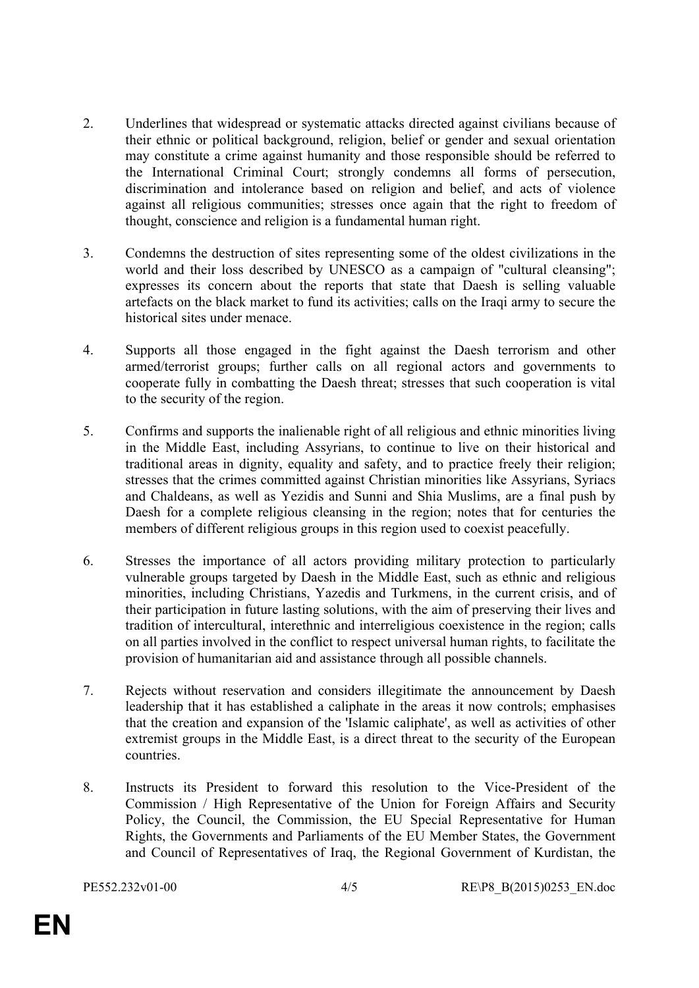- 2. Underlines that widespread or systematic attacks directed against civilians because of their ethnic or political background, religion, belief or gender and sexual orientation may constitute a crime against humanity and those responsible should be referred to the International Criminal Court; strongly condemns all forms of persecution, discrimination and intolerance based on religion and belief, and acts of violence against all religious communities; stresses once again that the right to freedom of thought, conscience and religion is a fundamental human right.
- 3. Condemns the destruction of sites representing some of the oldest civilizations in the world and their loss described by UNESCO as a campaign of "cultural cleansing"; expresses its concern about the reports that state that Daesh is selling valuable artefacts on the black market to fund its activities; calls on the Iraqi army to secure the historical sites under menace.
- 4. Supports all those engaged in the fight against the Daesh terrorism and other armed/terrorist groups; further calls on all regional actors and governments to cooperate fully in combatting the Daesh threat; stresses that such cooperation is vital to the security of the region.
- 5. Confirms and supports the inalienable right of all religious and ethnic minorities living in the Middle East, including Assyrians, to continue to live on their historical and traditional areas in dignity, equality and safety, and to practice freely their religion; stresses that the crimes committed against Christian minorities like Assyrians, Syriacs and Chaldeans, as well as Yezidis and Sunni and Shia Muslims, are a final push by Daesh for a complete religious cleansing in the region; notes that for centuries the members of different religious groups in this region used to coexist peacefully.
- 6. Stresses the importance of all actors providing military protection to particularly vulnerable groups targeted by Daesh in the Middle East, such as ethnic and religious minorities, including Christians, Yazedis and Turkmens, in the current crisis, and of their participation in future lasting solutions, with the aim of preserving their lives and tradition of intercultural, interethnic and interreligious coexistence in the region; calls on all parties involved in the conflict to respect universal human rights, to facilitate the provision of humanitarian aid and assistance through all possible channels.
- 7. Rejects without reservation and considers illegitimate the announcement by Daesh leadership that it has established a caliphate in the areas it now controls; emphasises that the creation and expansion of the 'Islamic caliphate', as well as activities of other extremist groups in the Middle East, is a direct threat to the security of the European countries.
- 8. Instructs its President to forward this resolution to the Vice-President of the Commission / High Representative of the Union for Foreign Affairs and Security Policy, the Council, the Commission, the EU Special Representative for Human Rights, the Governments and Parliaments of the EU Member States, the Government and Council of Representatives of Iraq, the Regional Government of Kurdistan, the